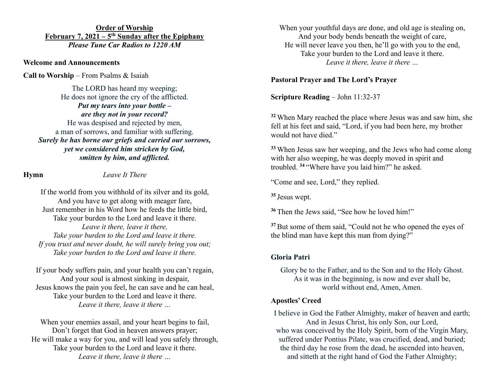**Order of Worship February 7, 2021 – 5th Sunday after the Epiphany** *Please Tune Car Radios to 1220 AM*

#### **Welcome and Announcements**

**Call to Worship** – From Psalms & Isaiah

The LORD has heard my weeping; He does not ignore the cry of the afflicted. *Put my tears into your bottle – are they not in your record?* He was despised and rejected by men,

a man of sorrows, and familiar with suffering. *Surely he has borne our griefs and carried our sorrows, yet we considered him stricken by God, smitten by him, and afflicted.*

**Hymn** *Leave It There*

If the world from you withhold of its silver and its gold, And you have to get along with meager fare, Just remember in his Word how he feeds the little bird, Take your burden to the Lord and leave it there. *Leave it there, leave it there, Take your burden to the Lord and leave it there. If you trust and never doubt, he will surely bring you out; Take your burden to the Lord and leave it there.*

If your body suffers pain, and your health you can't regain, And your soul is almost sinking in despair, Jesus knows the pain you feel, he can save and he can heal, Take your burden to the Lord and leave it there. *Leave it there, leave it there …*

When your enemies assail, and your heart begins to fail, Don't forget that God in heaven answers prayer; He will make a way for you, and will lead you safely through, Take your burden to the Lord and leave it there. *Leave it there, leave it there …*

When your youthful days are done, and old age is stealing on, And your body bends beneath the weight of care, He will never leave you then, he'll go with you to the end, Take your burden to the Lord and leave it there. *Leave it there, leave it there …*

### **Pastoral Prayer and The Lord's Prayer**

**Scripture Reading** – John 11:32-37

**<sup>32</sup>** When Mary reached the place where Jesus was and saw him, she fell at his feet and said, "Lord, if you had been here, my brother would not have died."

**<sup>33</sup>** When Jesus saw her weeping, and the Jews who had come along with her also weeping, he was deeply moved in spirit and troubled. **<sup>34</sup>** "Where have you laid him?" he asked.

"Come and see, Lord," they replied.

**<sup>35</sup>** Jesus wept.

**<sup>36</sup>** Then the Jews said, "See how he loved him!"

**<sup>37</sup>** But some of them said, "Could not he who opened the eyes of the blind man have kept this man from dying?"

## **Gloria Patri**

Glory be to the Father, and to the Son and to the Holy Ghost. As it was in the beginning, is now and ever shall be, world without end, Amen, Amen.

### **Apostles' Creed**

I believe in God the Father Almighty, maker of heaven and earth; And in Jesus Christ, his only Son, our Lord, who was conceived by the Holy Spirit, born of the Virgin Mary, suffered under Pontius Pilate, was crucified, dead, and buried; the third day he rose from the dead, he ascended into heaven, and sitteth at the right hand of God the Father Almighty;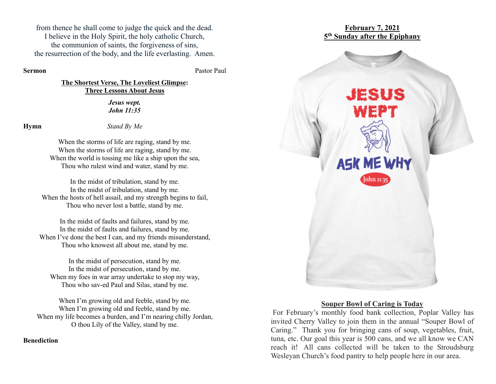from thence he shall come to judge the quick and the dead. I believe in the Holy Spirit, the holy catholic Church, the communion of saints, the forgiveness of sins, the resurrection of the body, and the life everlasting. Amen.

**Sermon** Pastor Paul

### **The Shortest Verse, The Loveliest Glimpse: Three Lessons About Jesus**

*Jesus wept. John 11:35*

**Hymn** *Stand By Me*

When the storms of life are raging, stand by me. When the storms of life are raging, stand by me. When the world is tossing me like a ship upon the sea, Thou who rulest wind and water, stand by me.

In the midst of tribulation, stand by me. In the midst of tribulation, stand by me. When the hosts of hell assail, and my strength begins to fail, Thou who never lost a battle, stand by me.

In the midst of faults and failures, stand by me. In the midst of faults and failures, stand by me. When I've done the best I can, and my friends misunderstand, Thou who knowest all about me, stand by me.

In the midst of persecution, stand by me. In the midst of persecution, stand by me. When my foes in war array undertake to stop my way, Thou who sav-ed Paul and Silas, stand by me.

When I'm growing old and feeble, stand by me. When I'm growing old and feeble, stand by me. When my life becomes a burden, and I'm nearing chilly Jordan, O thou Lily of the Valley, stand by me.

**Benediction**



### **Souper Bowl of Caring is Today**

For February's monthly food bank collection, Poplar Valley has invited Cherry Valley to join them in the annual "Souper Bowl of Caring." Thank you for bringing cans of soup, vegetables, fruit, tuna, etc. Our goal this year is 500 cans, and we all know we CAN reach it! All cans collected will be taken to the Stroudsburg Wesleyan Church's food pantry to help people here in our area.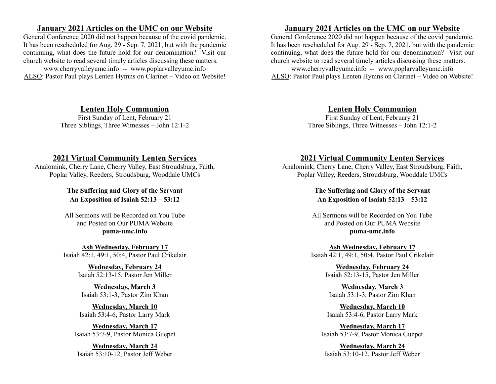### **January 2021 Articles on the UMC on our Website**

General Conference 2020 did not happen because of the covid pandemic. It has been rescheduled for Aug. 29 - Sep. 7, 2021, but with the pandemic continuing, what does the future hold for our denomination? Visit our church website to read several timely articles discussing these matters.

www.cherryvalleyumc.info -- www.poplarvalleyumc.info ALSO: Pastor Paul plays Lenten Hymns on Clarinet – Video on Website!

## **Lenten Holy Communion**

First Sunday of Lent, February 21 Three Siblings, Three Witnesses – John 12:1-2

## **2021 Virtual Community Lenten Services**

Analomink, Cherry Lane, Cherry Valley, East Stroudsburg, Faith, Poplar Valley, Reeders, Stroudsburg, Wooddale UMCs

> **The Suffering and Glory of the Servant An Exposition of Isaiah 52:13 – 53:12**

All Sermons will be Recorded on You Tube and Posted on Our PUMA Website **puma-umc.info**

**Ash Wednesday, February 17** Isaiah 42:1, 49:1, 50:4, Pastor Paul Crikelair

> **Wednesday, February 24** Isaiah 52:13-15, Pastor Jen Miller

**Wednesday, March 3** Isaiah 53:1-3, Pastor Zim Khan

**Wednesday, March 10** Isaiah 53:4-6, Pastor Larry Mark

**Wednesday, March 17** Isaiah 53:7-9, Pastor Monica Guepet

**Wednesday, March 24** Isaiah 53:10-12, Pastor Jeff Weber

# **January 2021 Articles on the UMC on our Website**

General Conference 2020 did not happen because of the covid pandemic. It has been rescheduled for Aug. 29 - Sep. 7, 2021, but with the pandemic continuing, what does the future hold for our denomination? Visit our church website to read several timely articles discussing these matters.

www.cherryvalleyumc.info -- www.poplarvalleyumc.info ALSO: Pastor Paul plays Lenten Hymns on Clarinet – Video on Website!

# **Lenten Holy Communion**

First Sunday of Lent, February 21 Three Siblings, Three Witnesses – John 12:1-2

## **2021 Virtual Community Lenten Services**

Analomink, Cherry Lane, Cherry Valley, East Stroudsburg, Faith, Poplar Valley, Reeders, Stroudsburg, Wooddale UMCs

> **The Suffering and Glory of the Servant An Exposition of Isaiah 52:13 – 53:12**

All Sermons will be Recorded on You Tube and Posted on Our PUMA Website **puma-umc.info**

**Ash Wednesday, February 17** Isaiah 42:1, 49:1, 50:4, Pastor Paul Crikelair

> **Wednesday, February 24** Isaiah 52:13-15, Pastor Jen Miller

**Wednesday, March 3** Isaiah 53:1-3, Pastor Zim Khan

**Wednesday, March 10** Isaiah 53:4-6, Pastor Larry Mark

**Wednesday, March 17** Isaiah 53:7-9, Pastor Monica Guepet

**Wednesday, March 24** Isaiah 53:10-12, Pastor Jeff Weber